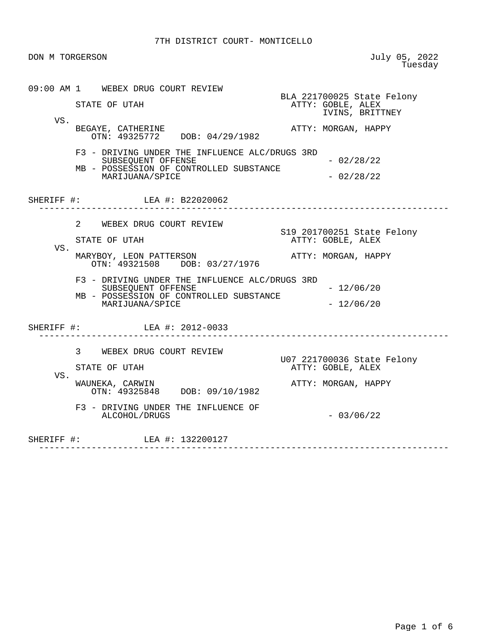| DON M TORGERSON |                                                                                                                                                                                                                                                           | July 05, 2022<br>Tuesday                                                                             |
|-----------------|-----------------------------------------------------------------------------------------------------------------------------------------------------------------------------------------------------------------------------------------------------------|------------------------------------------------------------------------------------------------------|
| VS.             | 09:00 AM 1 WEBEX DRUG COURT REVIEW<br>STATE OF UTAH<br>BEGAYE, CATHERINE<br>OTN: 49325772 DOB: 04/29/1982                                                                                                                                                 | BLA 221700025 State Felony<br>ATTY: GOBLE, ALEX<br>IVINS, BRITTNEY<br>ATTY: MORGAN, HAPPY            |
|                 | F3 - DRIVING UNDER THE INFLUENCE ALC/DRUGS 3RD<br>SUBSEOUENT OFFENSE<br>MB - POSSESSION OF CONTROLLED SUBSTANCE<br>MARIJUANA/SPICE                                                                                                                        | $-02/28/22$<br>$-02/28/22$                                                                           |
|                 | SHERIFF #: LEA #: B22020062                                                                                                                                                                                                                               |                                                                                                      |
| VS.             | $2^{\circ}$<br>WEBEX DRUG COURT REVIEW<br>STATE OF UTAH<br>MARYBOY, LEON PATTERSON<br>OTN: 49321508 DOB: 03/27/1976<br>F3 - DRIVING UNDER THE INFLUENCE ALC/DRUGS 3RD<br>SUBSEQUENT OFFENSE<br>MB - POSSESSION OF CONTROLLED SUBSTANCE<br>MARIJUANA/SPICE | S19 201700251 State Felony<br>ATTY: GOBLE, ALEX<br>ATTY: MORGAN, HAPPY<br>$-12/06/20$<br>$-12/06/20$ |
|                 | SHERIFF #: LEA #: 2012-0033                                                                                                                                                                                                                               |                                                                                                      |
| VS.             | 3<br>WEBEX DRUG COURT REVIEW<br>STATE OF UTAH<br>WAUNEKA, CARWIN<br>OTN: 49325848 DOB: 09/10/1982<br>F3 - DRIVING UNDER THE INFLUENCE OF<br>ALCOHOL/DRUGS                                                                                                 | U07 221700036 State Felony<br>ATTY: GOBLE, ALEX<br>ATTY: MORGAN, HAPPY<br>$-03/06/22$                |
|                 | SHERIFF #: LEA #: 132200127                                                                                                                                                                                                                               |                                                                                                      |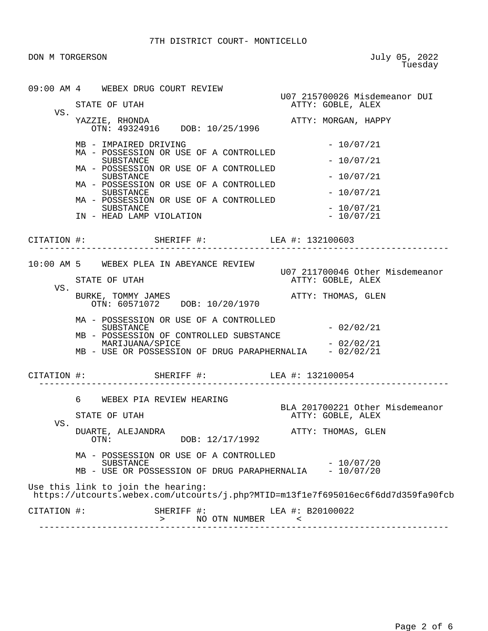DON M TORGERSON

July 05, 2022<br>Tuesday

|             | 09:00 AM 4 WEBEX DRUG COURT REVIEW                                                                                     |                                                    |  |
|-------------|------------------------------------------------------------------------------------------------------------------------|----------------------------------------------------|--|
| VS.         | STATE OF UTAH                                                                                                          | U07 215700026 Misdemeanor DUI<br>ATTY: GOBLE, ALEX |  |
|             | YAZZIE, RHONDA<br>OTN: 49324916 DOB: 10/25/1996                                                                        | ATTY: MORGAN, HAPPY                                |  |
|             | MB - IMPAIRED DRIVING<br>MA - POSSESSION OR USE OF A CONTROLLED                                                        | $-10/07/21$                                        |  |
|             | SUBSTANCE<br>MA - POSSESSION OR USE OF A CONTROLLED                                                                    | $-10/07/21$                                        |  |
|             | SUBSTANCE<br>MA - POSSESSION OR USE OF A CONTROLLED                                                                    | $-10/07/21$                                        |  |
|             | SUBSTANCE<br>MA - POSSESSION OR USE OF A CONTROLLED                                                                    | $-10/07/21$                                        |  |
|             | SUBSTANCE<br>IN - HEAD LAMP VIOLATION                                                                                  | $-10/07/21$<br>$-10/07/21$                         |  |
|             | CITATION #: SHERIFF #: LEA #: 132100603                                                                                |                                                    |  |
|             | 10:00 AM 5 WEBEX PLEA IN ABEYANCE REVIEW                                                                               | U07 211700046 Other Misdemeanor                    |  |
| VS.         | STATE OF UTAH                                                                                                          | ATTY: GOBLE, ALEX                                  |  |
|             | BURKE, TOMMY JAMES<br>OTN: 60571072 DOB: 10/20/1970                                                                    | ATTY: THOMAS, GLEN                                 |  |
|             | MA - POSSESSION OR USE OF A CONTROLLED<br>SUBSTANCE                                                                    | $-02/02/21$                                        |  |
|             | MB - POSSESSION OF CONTROLLED SUBSTANCE<br>MARIJUANA/SPICE                                                             | $-02/02/21$                                        |  |
|             | MB - USE OR POSSESSION OF DRUG PARAPHERNALIA - 02/02/21                                                                |                                                    |  |
|             | CITATION #: SHERIFF #: LEA #: 132100054                                                                                |                                                    |  |
|             | 6 WEBEX PIA REVIEW HEARING                                                                                             | BLA 201700221 Other Misdemeanor                    |  |
|             | STATE OF UTAH                                                                                                          | ATTY: GOBLE, ALEX                                  |  |
| VS.         | DUARTE, ALEJANDRA<br>DOB: 12/17/1992<br>OTN:                                                                           | ATTY: THOMAS, GLEN                                 |  |
|             | MA - POSSESSION OR USE OF A CONTROLLED<br>SUBSTANCE                                                                    | $-10/07/20$                                        |  |
|             | MB - USE OR POSSESSION OF DRUG PARAPHERNALIA                                                                           | $-10/07/20$                                        |  |
|             | Use this link to join the hearing:<br>https://utcourts.webex.com/utcourts/j.php?MTID=m13f1e7f695016ec6f6dd7d359fa90fcb |                                                    |  |
| CITATION #: | SHERIFF #:<br>NO OTN NUMBER<br>$\geq$                                                                                  | LEA #: B20100022<br>$\prec$                        |  |

------------------------------------------------------------------------------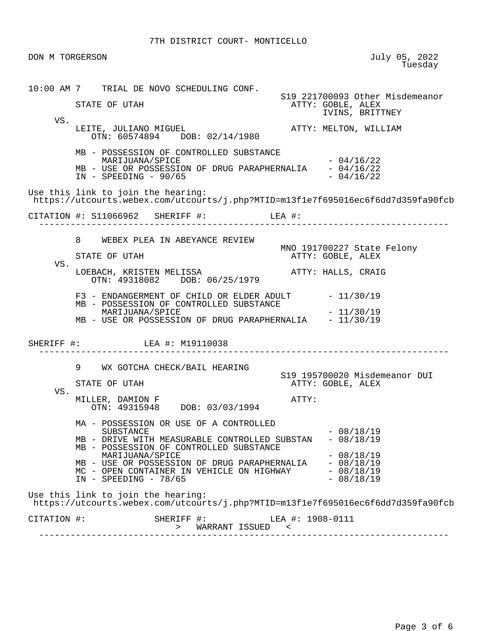DON M TORGERSON July 05, 2022<br>Tuesday en de la construcción de la construcción de la construcción de la construcción de la construcción de la construcción de la construcción de la construcción de la construcción de la construcción de la construcción de la cons 10:00 AM 7 TRIAL DE NOVO SCHEDULING CONF. S19 221700093 Other Misdemeanor STATE OF UTAH ATTY: GOBLE, ALEX IVINS, BRITTNEY VS. LEITE, JULIANO MIGUEL **ATTY: MELTON, WILLIAM**  OTN: 60574894 DOB: 02/14/1980 MB - POSSESSION OF CONTROLLED SUBSTANCE  $MARTJUANA/SPICE$   $-04/16/22$ MB - USE OR POSSESSION OF DRUG PARAPHERNALIA  $-04/16/22$ <br>IN - SPEEDING - 90/65  $IN - SPEEDING - 90/65$  Use this link to join the hearing: https://utcourts.webex.com/utcourts/j.php?MTID=m13f1e7f695016ec6f6dd7d359fa90fcb CITATION #: S11066962 SHERIFF #: LEA #: ------------------------------------------------------------------------------ 8 WEBEX PLEA IN ABEYANCE REVIEW MNO 191700227 State Felony ATTY: GOBLE, ALEX VS. LOEBACH, KRISTEN MELISSA ATTY: HALLS, CRAIG OTN: 49318082 DOB: 06/25/1979  $F3$  - ENDANGERMENT OF CHILD OR ELDER ADULT  $-11/30/19$  MB - POSSESSION OF CONTROLLED SUBSTANCE MARIJUANA/SPICE  $- 11/30/19$ MB - USE OR POSSESSION OF DRUG PARAPHERNALIA - 11/30/19 SHERIFF #: LEA #: M19110038 ------------------------------------------------------------------------------ 9 WX GOTCHA CHECK/BAIL HEARING S19 195700020 Misdemeanor DUI STATE OF UTAH ATTY: GOBLE, ALEX VS. MILLER, DAMION F ATTY: OTN: 49315948 DOB: 03/03/1994 MA - POSSESSION OR USE OF A CONTROLLED  $SUBSTANCE$   $-08/18/19$ MB - DRIVE WITH MEASURABLE CONTROLLED SUBSTAN - 08/18/19 MB - POSSESSION OF CONTROLLED SUBSTANCE MARIJUANA/SPICE  $- 08/18/19$ MB - USE OR POSSESSION OF DRUG PARAPHERNALIA - 08/18/19 MC - OPEN CONTAINER IN VEHICLE ON HIGHWAY - 08/18/19  $IN - SPEEDING - 78/65$  - 08/18/19 Use this link to join the hearing: https://utcourts.webex.com/utcourts/j.php?MTID=m13f1e7f695016ec6f6dd7d359fa90fcb CITATION #: SHERIFF #: LEA #: 1908-0111 > WARRANT ISSUED < ------------------------------------------------------------------------------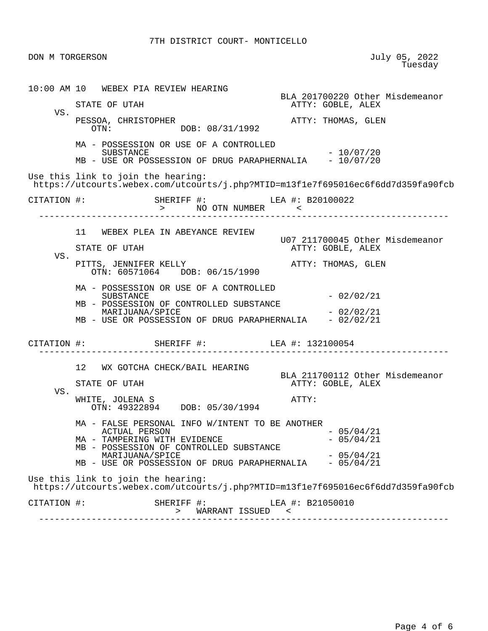DON M TORGERSON July 05, 2022<br>Tuesday en de la construcción de la construcción de la construcción de la construcción de la construcción de la construcción de la construcción de la construcción de la construcción de la construcción de la construcción de la cons 10:00 AM 10 WEBEX PIA REVIEW HEARING BLA 201700220 Other Misdemeanor<br>ATTY: GOBLE, ALEX ATTY: GOBLE, ALEX VS. PESSOA, CHRISTOPHER <br>
OTN: DOB: 08/31/1992<br>
OTN: DOB: 08/31/1992 MA - POSSESSION OR USE OF A CONTROLLED  $-10/07/20$ MB - USE OR POSSESSION OF DRUG PARAPHERNALIA - 10/07/20 Use this link to join the hearing: https://utcourts.webex.com/utcourts/j.php?MTID=m13f1e7f695016ec6f6dd7d359fa90fcb CITATION #: SHERIFF #: LEA #: B20100022 > NO OTN NUMBER < ------------------------------------------------------------------------------ 11 WEBEX PLEA IN ABEYANCE REVIEW U07 211700045 Other Misdemeanor ATTY: GOBLE, ALEX VS. PITTS, JENNIFER KELLY **ATTY: THOMAS, GLEN**  OTN: 60571064 DOB: 06/15/1990 MA - POSSESSION OR USE OF A CONTROLLED  $-02/02/21$  MB - POSSESSION OF CONTROLLED SUBSTANCE MARIJUANA/SPICE - 02/02/21 MB - USE OR POSSESSION OF DRUG PARAPHERNALIA CITATION #: SHERIFF #: LEA #: 132100054 ------------------------------------------------------------------------------ 12 WX GOTCHA CHECK/BAIL HEARING BLA 211700112 Other Misdemeanor STATE OF UTAH ATTY: GOBLE, ALEX VS. WHITE, JOLENA S ATTY: OTN: 49322894 DOB: 05/30/1994 MA - FALSE PERSONAL INFO W/INTENT TO BE ANOTHER ACTUAL PERSON - 05/04/21 MA - TAMPERING WITH EVIDENCE MB - POSSESSION OF CONTROLLED SUBSTANCE MARIJUANA/SPICE  $- 05/04/21$ MB - USE OR POSSESSION OF DRUG PARAPHERNALIA - 05/04/21 Use this link to join the hearing: https://utcourts.webex.com/utcourts/j.php?MTID=m13f1e7f695016ec6f6dd7d359fa90fcb CITATION #: SHERIFF #: LEA #: B21050010 > WARRANT ISSUED < ------------------------------------------------------------------------------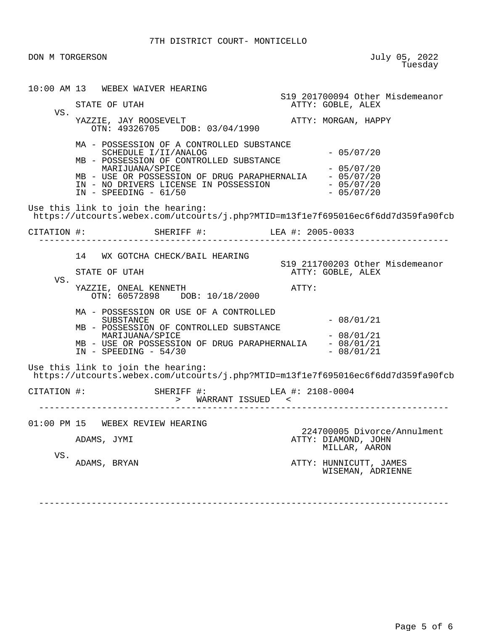DON M TORGERSON July 05, 2022<br>Tuesday en de la construcción de la construcción de la construcción de la construcción de la construcción de la construcción de la construcción de la construcción de la construcción de la construcción de la construcción de la cons

 10:00 AM 13 WEBEX WAIVER HEARING S19 201700094 Other Misdemeanor ATTY: GOBLE, ALEX VS. YAZZIE, JAY ROOSEVELT **ATTY: MORGAN, HAPPY**  OTN: 49326705 DOB: 03/04/1990 MA - POSSESSION OF A CONTROLLED SUBSTANCE SCHEDULE I/II/ANALOG - 05/07/20 MB - POSSESSION OF CONTROLLED SUBSTANCE MARIJUANA/SPICE  $- 05/07/20$ MB - USE OR POSSESSION OF DRUG PARAPHERNALIA - 05/07/20 IN - NO DRIVERS LICENSE IN POSSESSION - 05/07/20<br>IN - SPEEDING - 61/50 - 05/07/20  $IN - SPEEDING - 61/50$  Use this link to join the hearing: https://utcourts.webex.com/utcourts/j.php?MTID=m13f1e7f695016ec6f6dd7d359fa90fcb CITATION #: SHERIFF #: LEA #: 2005-0033 ------------------------------------------------------------------------------ 14 WX GOTCHA CHECK/BAIL HEARING S19 211700203 Other Misdemeanor ATTY: GOBLE, ALEX VS. YAZZIE, ONEAL KENNETH **ATTY:**  OTN: 60572898 DOB: 10/18/2000 MA - POSSESSION OR USE OF A CONTROLLED  $SUBSTATE$   $- 08/01/21$  MB - POSSESSION OF CONTROLLED SUBSTANCE  $MARIJUANA/SPICE$   $- 08/01/21$ MB - USE OR POSSESSION OF DRUG PARAPHERNALIA - 08/01/21  $IN - SPEEDING - 54/30 - 08/01/21$  Use this link to join the hearing: https://utcourts.webex.com/utcourts/j.php?MTID=m13f1e7f695016ec6f6dd7d359fa90fcb CITATION #: SHERIFF #: LEA #: 2108-0004 > WARRANT ISSUED < ------------------------------------------------------------------------------ 01:00 PM 15 WEBEX REVIEW HEARING 224700005 Divorce/Annulment ATTY: DIAMOND, JOHN MILLAR, AARON VS.<br>ADAMS, BRYAN ATTY: HUNNICUTT, JAMES WISEMAN, ADRIENNE

------------------------------------------------------------------------------